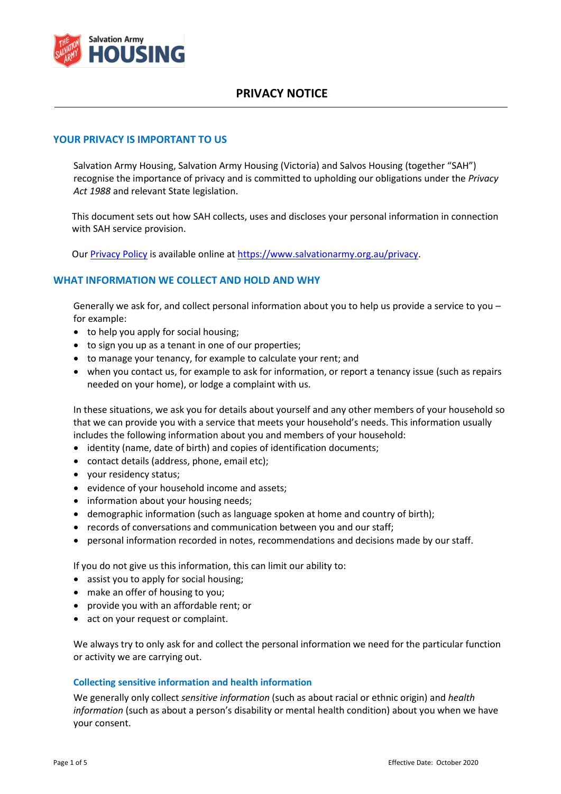

### **YOUR PRIVACY IS IMPORTANT TO US**

Salvation Army Housing, Salvation Army Housing (Victoria) and Salvos Housing (together "SAH") recognise the importance of privacy and is committed to upholding our obligations under the *Privacy Act 1988* and relevant State legislation.

This document sets out how SAH collects, uses and discloses your personal information in connection with SAH service provision.

Our [Privacy Policy](https://www.salvationarmy.org.au/about-us/governance-policy/privacy-policy/) is available online at [https://www.salvationarmy.org.au/privacy.](https://www.salvationarmy.org.au/privacy)

### **WHAT INFORMATION WE COLLECT AND HOLD AND WHY**

Generally we ask for, and collect personal information about you to help us provide a service to you – for example:

- to help you apply for social housing;
- to sign you up as a tenant in one of our properties;
- to manage your tenancy, for example to calculate your rent; and
- when you contact us, for example to ask for information, or report a tenancy issue (such as repairs needed on your home), or lodge a complaint with us.

In these situations, we ask you for details about yourself and any other members of your household so that we can provide you with a service that meets your household's needs. This information usually includes the following information about you and members of your household:

- identity (name, date of birth) and copies of identification documents;
- contact details (address, phone, email etc);
- your residency status;
- evidence of your household income and assets;
- information about your housing needs:
- demographic information (such as language spoken at home and country of birth);
- records of conversations and communication between you and our staff;
- personal information recorded in notes, recommendations and decisions made by our staff.

If you do not give us this information, this can limit our ability to:

- assist you to apply for social housing;
- make an offer of housing to you;
- provide you with an affordable rent; or
- act on your request or complaint.

We always try to only ask for and collect the personal information we need for the particular function or activity we are carrying out.

#### **Collecting sensitive information and health information**

We generally only collect *sensitive information* (such as about racial or ethnic origin) and *health information* (such as about a person's disability or mental health condition) about you when we have your consent.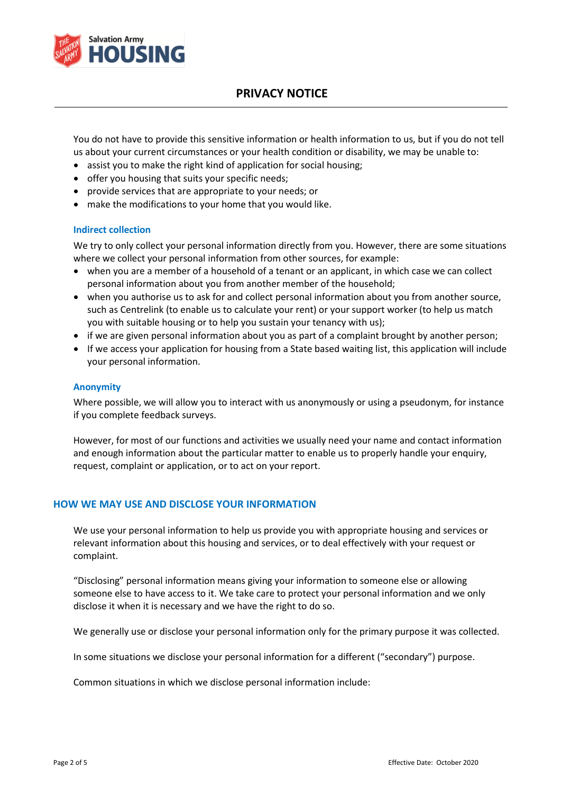

You do not have to provide this sensitive information or health information to us, but if you do not tell us about your current circumstances or your health condition or disability, we may be unable to:

- assist you to make the right kind of application for social housing;
- offer you housing that suits your specific needs;
- provide services that are appropriate to your needs; or
- make the modifications to your home that you would like.

#### **Indirect collection**

We try to only collect your personal information directly from you. However, there are some situations where we collect your personal information from other sources, for example:

- when you are a member of a household of a tenant or an applicant, in which case we can collect personal information about you from another member of the household;
- when you authorise us to ask for and collect personal information about you from another source, such as Centrelink (to enable us to calculate your rent) or your support worker (to help us match you with suitable housing or to help you sustain your tenancy with us);
- if we are given personal information about you as part of a complaint brought by another person;
- If we access your application for housing from a State based waiting list, this application will include your personal information.

#### **Anonymity**

Where possible, we will allow you to interact with us anonymously or using a pseudonym, for instance if you complete feedback surveys.

However, for most of our functions and activities we usually need your name and contact information and enough information about the particular matter to enable us to properly handle your enquiry, request, complaint or application, or to act on your report.

#### **HOW WE MAY USE AND DISCLOSE YOUR INFORMATION**

We use your personal information to help us provide you with appropriate housing and services or relevant information about this housing and services, or to deal effectively with your request or complaint.

"Disclosing" personal information means giving your information to someone else or allowing someone else to have access to it. We take care to protect your personal information and we only disclose it when it is necessary and we have the right to do so.

We generally use or disclose your personal information only for the primary purpose it was collected.

In some situations we disclose your personal information for a different ("secondary") purpose.

Common situations in which we disclose personal information include: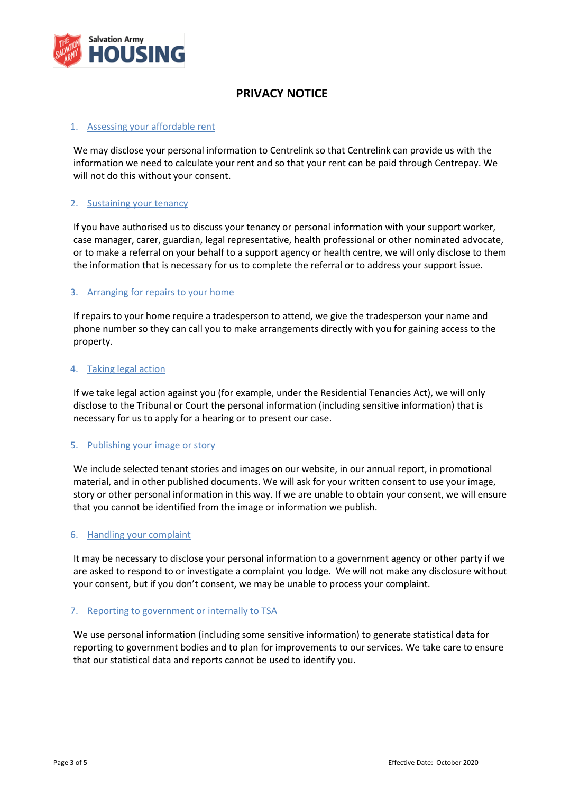

#### 1. Assessing your affordable rent

We may disclose your personal information to Centrelink so that Centrelink can provide us with the information we need to calculate your rent and so that your rent can be paid through Centrepay. We will not do this without your consent.

### 2. Sustaining your tenancy

If you have authorised us to discuss your tenancy or personal information with your support worker, case manager, carer, guardian, legal representative, health professional or other nominated advocate, or to make a referral on your behalf to a support agency or health centre, we will only disclose to them the information that is necessary for us to complete the referral or to address your support issue.

#### 3. Arranging for repairs to your home

If repairs to your home require a tradesperson to attend, we give the tradesperson your name and phone number so they can call you to make arrangements directly with you for gaining access to the property.

#### 4. Taking legal action

If we take legal action against you (for example, under the Residential Tenancies Act), we will only disclose to the Tribunal or Court the personal information (including sensitive information) that is necessary for us to apply for a hearing or to present our case.

#### 5. Publishing your image or story

We include selected tenant stories and images on our website, in our annual report, in promotional material, and in other published documents. We will ask for your written consent to use your image, story or other personal information in this way. If we are unable to obtain your consent, we will ensure that you cannot be identified from the image or information we publish.

#### 6. Handling your complaint

It may be necessary to disclose your personal information to a government agency or other party if we are asked to respond to or investigate a complaint you lodge. We will not make any disclosure without your consent, but if you don't consent, we may be unable to process your complaint.

#### 7. Reporting to government or internally to TSA

We use personal information (including some sensitive information) to generate statistical data for reporting to government bodies and to plan for improvements to our services. We take care to ensure that our statistical data and reports cannot be used to identify you.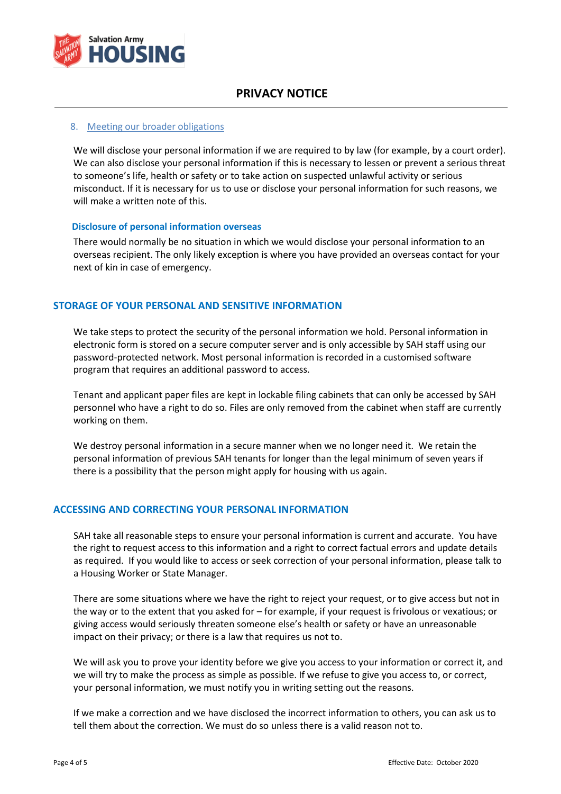

#### 8. Meeting our broader obligations

We will disclose your personal information if we are required to by law (for example, by a court order). We can also disclose your personal information if this is necessary to lessen or prevent a serious threat to someone's life, health or safety or to take action on suspected unlawful activity or serious misconduct. If it is necessary for us to use or disclose your personal information for such reasons, we will make a written note of this.

#### **Disclosure of personal information overseas**

There would normally be no situation in which we would disclose your personal information to an overseas recipient. The only likely exception is where you have provided an overseas contact for your next of kin in case of emergency.

### **STORAGE OF YOUR PERSONAL AND SENSITIVE INFORMATION**

We take steps to protect the security of the personal information we hold. Personal information in electronic form is stored on a secure computer server and is only accessible by SAH staff using our password-protected network. Most personal information is recorded in a customised software program that requires an additional password to access.

Tenant and applicant paper files are kept in lockable filing cabinets that can only be accessed by SAH personnel who have a right to do so. Files are only removed from the cabinet when staff are currently working on them.

We destroy personal information in a secure manner when we no longer need it. We retain the personal information of previous SAH tenants for longer than the legal minimum of seven years if there is a possibility that the person might apply for housing with us again.

#### **ACCESSING AND CORRECTING YOUR PERSONAL INFORMATION**

SAH take all reasonable steps to ensure your personal information is current and accurate. You have the right to request access to this information and a right to correct factual errors and update details as required. If you would like to access or seek correction of your personal information, please talk to a Housing Worker or State Manager.

There are some situations where we have the right to reject your request, or to give access but not in the way or to the extent that you asked for – for example, if your request is frivolous or vexatious; or giving access would seriously threaten someone else's health or safety or have an unreasonable impact on their privacy; or there is a law that requires us not to.

We will ask you to prove your identity before we give you access to your information or correct it, and we will try to make the process as simple as possible. If we refuse to give you access to, or correct, your personal information, we must notify you in writing setting out the reasons.

If we make a correction and we have disclosed the incorrect information to others, you can ask us to tell them about the correction. We must do so unless there is a valid reason not to.